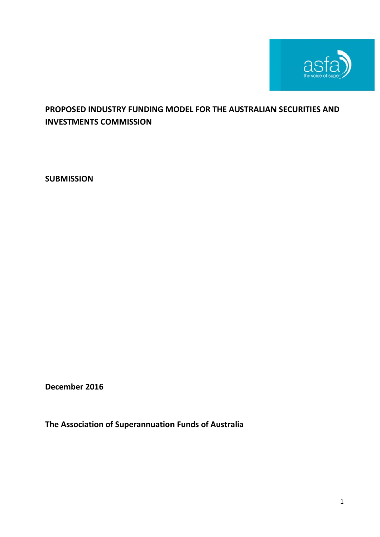

# **PROPOSED INDUSTRY FUNDING MODEL FOR THE AUSTRALIAN SECURITIES AND INVESTMENTS COMMISSION**

**SUBM ISSION**

**Decem mber 2016**

**The As ssociation 6n of Supera annuation Funds o f Australia a**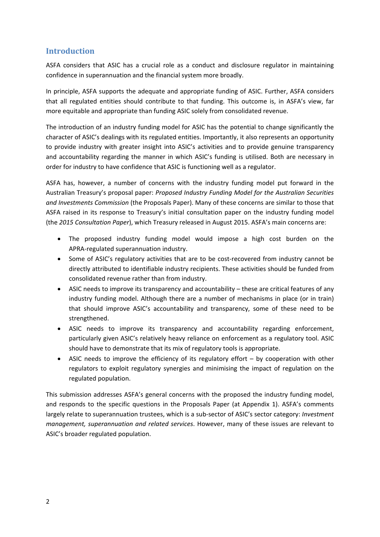# **Introduction**

ASFA considers that ASIC has a crucial role as a conduct and disclosure regulator in maintaining confidence in superannuation and the financial system more broadly.

In principle, ASFA supports the adequate and appropriate funding of ASIC. Further, ASFA considers that all regulated entities should contribute to that funding. This outcome is, in ASFA's view, far more equitable and appropriate than funding ASIC solely from consolidated revenue.

The introduction of an industry funding model for ASIC has the potential to change significantly the character of ASIC's dealings with its regulated entities. Importantly, it also represents an opportunity to provide industry with greater insight into ASIC's activities and to provide genuine transparency and accountability regarding the manner in which ASIC's funding is utilised. Both are necessary in order for industry to have confidence that ASIC is functioning well as a regulator.

ASFA has, however, a number of concerns with the industry funding model put forward in the Australian Treasury's proposal paper: *Proposed Industry Funding Model for the Australian Securities and Investments Commission* (the Proposals Paper). Many of these concerns are similar to those that ASFA raised in its response to Treasury's initial consultation paper on the industry funding model (the *2015 Consultation Paper*), which Treasury released in August 2015. ASFA's main concerns are:

- The proposed industry funding model would impose a high cost burden on the APRA‐regulated superannuation industry.
- Some of ASIC's regulatory activities that are to be cost-recovered from industry cannot be directly attributed to identifiable industry recipients. These activities should be funded from consolidated revenue rather than from industry.
- ASIC needs to improve its transparency and accountability these are critical features of any industry funding model. Although there are a number of mechanisms in place (or in train) that should improve ASIC's accountability and transparency, some of these need to be strengthened.
- ASIC needs to improve its transparency and accountability regarding enforcement, particularly given ASIC's relatively heavy reliance on enforcement as a regulatory tool. ASIC should have to demonstrate that its mix of regulatory tools is appropriate.
- ASIC needs to improve the efficiency of its regulatory effort by cooperation with other regulators to exploit regulatory synergies and minimising the impact of regulation on the regulated population.

This submission addresses ASFA's general concerns with the proposed the industry funding model, and responds to the specific questions in the Proposals Paper (at Appendix 1). ASFA's comments largely relate to superannuation trustees, which is a sub‐sector of ASIC's sector category: *Investment management, superannuation and related services*. However, many of these issues are relevant to ASIC's broader regulated population.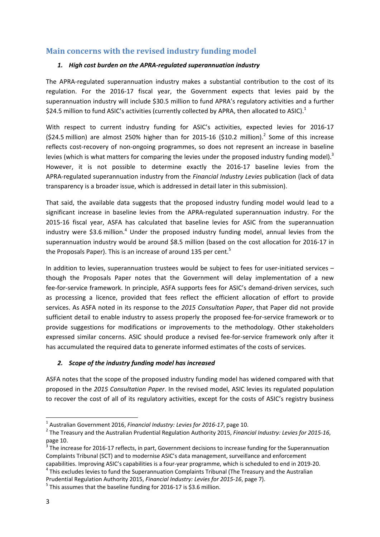# **Main concerns with the revised industry funding model**

## *1. High cost burden on the APRA‐regulated superannuation industry*

The APRA‐regulated superannuation industry makes a substantial contribution to the cost of its regulation. For the 2016‐17 fiscal year, the Government expects that levies paid by the superannuation industry will include \$30.5 million to fund APRA's regulatory activities and a further \$24.5 million to fund ASIC's activities (currently collected by APRA, then allocated to ASIC).<sup>1</sup>

With respect to current industry funding for ASIC's activities, expected levies for 2016-17 (\$24.5 million) are almost 250% higher than for 2015-16 (\$10.2 million).<sup>2</sup> Some of this increase reflects cost-recovery of non-ongoing programmes, so does not represent an increase in baseline levies (which is what matters for comparing the levies under the proposed industry funding model). $3$ However, it is not possible to determine exactly the 2016‐17 baseline levies from the APRA‐regulated superannuation industry from the *Financial Industry Levies* publication (lack of data transparency is a broader issue, which is addressed in detail later in this submission).

That said, the available data suggests that the proposed industry funding model would lead to a significant increase in baseline levies from the APRA-regulated superannuation industry. For the 2015‐16 fiscal year, ASFA has calculated that baseline levies for ASIC from the superannuation industry were \$3.6 million.<sup>4</sup> Under the proposed industry funding model, annual levies from the superannuation industry would be around \$8.5 million (based on the cost allocation for 2016‐17 in the Proposals Paper). This is an increase of around 135 per cent.<sup>5</sup>

In addition to levies, superannuation trustees would be subject to fees for user-initiated services – though the Proposals Paper notes that the Government will delay implementation of a new fee-for-service framework. In principle, ASFA supports fees for ASIC's demand-driven services, such as processing a licence, provided that fees reflect the efficient allocation of effort to provide services. As ASFA noted in its response to the *2015 Consultation Paper*, that Paper did not provide sufficient detail to enable industry to assess properly the proposed fee-for-service framework or to provide suggestions for modifications or improvements to the methodology. Other stakeholders expressed similar concerns. ASIC should produce a revised fee-for-service framework only after it has accumulated the required data to generate informed estimates of the costs of services.

# *2. Scope of the industry funding model has increased*

ASFA notes that the scope of the proposed industry funding model has widened compared with that proposed in the *2015 Consultation Paper*. In the revised model, ASIC levies its regulated population to recover the cost of all of its regulatory activities, except for the costs of ASIC's registry business

<sup>&</sup>lt;sup>1</sup> Australian Government 2016, Financial Industry: Levies for 2016-17, page 10.<br><sup>2</sup> The Treasury and the Australian Prudential Regulation Authority 2015, Financial Industry: Levies for 2015-16, page 10.

The increase for 2016-17 reflects, in part, Government decisions to increase funding for the Superannuation Complaints Tribunal (SCT) and to modernise ASIC's data management, surveillance and enforcement capabilities. Improving ASIC's capabilities is a four-year programme, which is scheduled to end in 2019-20.<br><sup>4</sup> This excludes levies to fund the Superannuation Complaints Tribunal (The Treasury and the Australian

Prudential Regulation Authority 2015, *Financial Industry: Levies for <sup>2015</sup>‐16*, page 7). <sup>5</sup> This assumes that the baseline funding for <sup>2016</sup>‐<sup>17</sup> is \$3.6 million.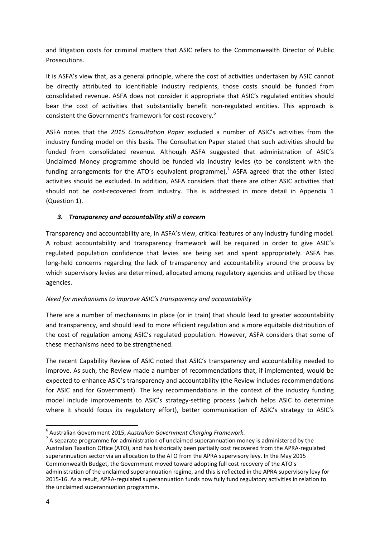and litigation costs for criminal matters that ASIC refers to the Commonwealth Director of Public Prosecutions.

It is ASFA's view that, as a general principle, where the cost of activities undertaken by ASIC cannot be directly attributed to identifiable industry recipients, those costs should be funded from consolidated revenue. ASFA does not consider it appropriate that ASIC's regulated entities should bear the cost of activities that substantially benefit non-regulated entities. This approach is consistent the Government's framework for cost-recovery.<sup>6</sup>

ASFA notes that the *2015 Consultation Paper* excluded a number of ASIC's activities from the industry funding model on this basis. The Consultation Paper stated that such activities should be funded from consolidated revenue. Although ASFA suggested that administration of ASIC's Unclaimed Money programme should be funded via industry levies (to be consistent with the funding arrangements for the ATO's equivalent programme),<sup>7</sup> ASFA agreed that the other listed activities should be excluded. In addition, ASFA considers that there are other ASIC activities that should not be cost-recovered from industry. This is addressed in more detail in Appendix 1 (Question 1).

## *3. Transparency and accountability still a concern*

Transparency and accountability are, in ASFA's view, critical features of any industry funding model. A robust accountability and transparency framework will be required in order to give ASIC's regulated population confidence that levies are being set and spent appropriately. ASFA has long-held concerns regarding the lack of transparency and accountability around the process by which supervisory levies are determined, allocated among regulatory agencies and utilised by those agencies.

## *Need for mechanisms to improve ASIC's transparency and accountability*

There are a number of mechanisms in place (or in train) that should lead to greater accountability and transparency, and should lead to more efficient regulation and a more equitable distribution of the cost of regulation among ASIC's regulated population. However, ASFA considers that some of these mechanisms need to be strengthened.

The recent Capability Review of ASIC noted that ASIC's transparency and accountability needed to improve. As such, the Review made a number of recommendations that, if implemented, would be expected to enhance ASIC's transparency and accountability (the Review includes recommendations for ASIC and for Government). The key recommendations in the context of the industry funding model include improvements to ASIC's strategy-setting process (which helps ASIC to determine where it should focus its regulatory effort), better communication of ASIC's strategy to ASIC's

<sup>&</sup>lt;sup>6</sup> Australian Government 2015, *Australian Government Charging Framework*.<br><sup>7</sup> A separate programme for administration of unclaimed superannuation money is administered by the Australian Taxation Office (ATO), and has historically been partially cost recovered from the APRA‐regulated superannuation sector via an allocation to the ATO from the APRA supervisory levy. In the May 2015 Commonwealth Budget, the Government moved toward adopting full cost recovery of the ATO's administration of the unclaimed superannuation regime, and this is reflected in the APRA supervisory levy for 2015‐16. As a result, APRA‐regulated superannuation funds now fully fund regulatory activities in relation to the unclaimed superannuation programme.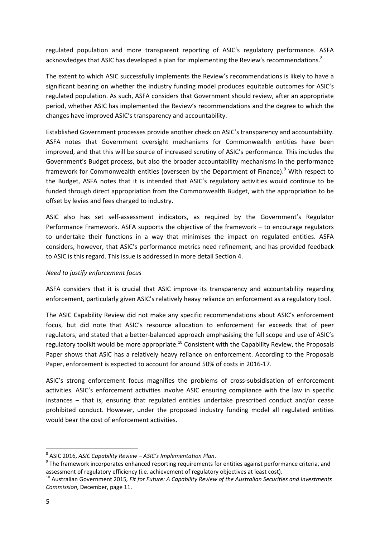regulated population and more transparent reporting of ASIC's regulatory performance. ASFA acknowledges that ASIC has developed a plan for implementing the Review's recommendations.<sup>8</sup>

The extent to which ASIC successfully implements the Review's recommendations is likely to have a significant bearing on whether the industry funding model produces equitable outcomes for ASIC's regulated population. As such, ASFA considers that Government should review, after an appropriate period, whether ASIC has implemented the Review's recommendations and the degree to which the changes have improved ASIC's transparency and accountability.

Established Government processes provide another check on ASIC's transparency and accountability. ASFA notes that Government oversight mechanisms for Commonwealth entities have been improved, and that this will be source of increased scrutiny of ASIC's performance. This includes the Government's Budget process, but also the broader accountability mechanisms in the performance framework for Commonwealth entities (overseen by the Department of Finance).<sup>9</sup> With respect to the Budget, ASFA notes that it is intended that ASIC's regulatory activities would continue to be funded through direct appropriation from the Commonwealth Budget, with the appropriation to be offset by levies and fees charged to industry.

ASIC also has set self-assessment indicators, as required by the Government's Regulator Performance Framework. ASFA supports the objective of the framework – to encourage regulators to undertake their functions in a way that minimises the impact on regulated entities. ASFA considers, however, that ASIC's performance metrics need refinement, and has provided feedback to ASIC is this regard. This issue is addressed in more detail Section 4.

## *Need to justify enforcement focus*

ASFA considers that it is crucial that ASIC improve its transparency and accountability regarding enforcement, particularly given ASIC's relatively heavy reliance on enforcement as a regulatory tool.

The ASIC Capability Review did not make any specific recommendations about ASIC's enforcement focus, but did note that ASIC's resource allocation to enforcement far exceeds that of peer regulators, and stated that a better‐balanced approach emphasising the full scope and use of ASIC's regulatory toolkit would be more appropriate.<sup>10</sup> Consistent with the Capability Review, the Proposals Paper shows that ASIC has a relatively heavy reliance on enforcement. According to the Proposals Paper, enforcement is expected to account for around 50% of costs in 2016‐17.

ASIC's strong enforcement focus magnifies the problems of cross-subsidisation of enforcement activities. ASIC's enforcement activities involve ASIC ensuring compliance with the law in specific instances – that is, ensuring that regulated entities undertake prescribed conduct and/or cease prohibited conduct. However, under the proposed industry funding model all regulated entities would bear the cost of enforcement activities.

<sup>&</sup>lt;sup>8</sup> ASIC 2016, *ASIC Capability Review – ASIC's Implementation <i>Plan*.<br><sup>9</sup> The framework incorporates enhanced reporting requirements for entities against performance criteria, and

assessment of regulatory efficiency (i.e. achievement of regulatory objectives at least cost).<br><sup>10</sup> Australian Government 2015, Fit for Future: A Capability Review of the Australian Securities and Investments *Commission*, December, page 11.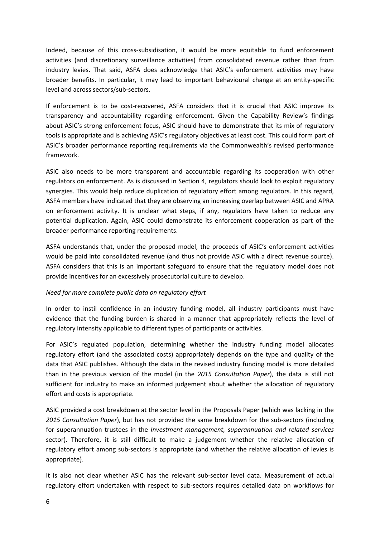Indeed, because of this cross‐subsidisation, it would be more equitable to fund enforcement activities (and discretionary surveillance activities) from consolidated revenue rather than from industry levies. That said, ASFA does acknowledge that ASIC's enforcement activities may have broader benefits. In particular, it may lead to important behavioural change at an entity‐specific level and across sectors/sub‐sectors.

If enforcement is to be cost-recovered, ASFA considers that it is crucial that ASIC improve its transparency and accountability regarding enforcement. Given the Capability Review's findings about ASIC's strong enforcement focus, ASIC should have to demonstrate that its mix of regulatory tools is appropriate and is achieving ASIC's regulatory objectives at least cost. This could form part of ASIC's broader performance reporting requirements via the Commonwealth's revised performance framework.

ASIC also needs to be more transparent and accountable regarding its cooperation with other regulators on enforcement. As is discussed in Section 4, regulators should look to exploit regulatory synergies. This would help reduce duplication of regulatory effort among regulators. In this regard, ASFA members have indicated that they are observing an increasing overlap between ASIC and APRA on enforcement activity. It is unclear what steps, if any, regulators have taken to reduce any potential duplication. Again, ASIC could demonstrate its enforcement cooperation as part of the broader performance reporting requirements.

ASFA understands that, under the proposed model, the proceeds of ASIC's enforcement activities would be paid into consolidated revenue (and thus not provide ASIC with a direct revenue source). ASFA considers that this is an important safeguard to ensure that the regulatory model does not provide incentives for an excessively prosecutorial culture to develop.

#### *Need for more complete public data on regulatory effort*

In order to instil confidence in an industry funding model, all industry participants must have evidence that the funding burden is shared in a manner that appropriately reflects the level of regulatory intensity applicable to different types of participants or activities.

For ASIC's regulated population, determining whether the industry funding model allocates regulatory effort (and the associated costs) appropriately depends on the type and quality of the data that ASIC publishes. Although the data in the revised industry funding model is more detailed than in the previous version of the model (in the *2015 Consultation Paper*), the data is still not sufficient for industry to make an informed judgement about whether the allocation of regulatory effort and costs is appropriate.

ASIC provided a cost breakdown at the sector level in the Proposals Paper (which was lacking in the *2015 Consultation Paper*), but has not provided the same breakdown for the sub‐sectors (including for superannuation trustees in the *Investment management, superannuation and related services* sector). Therefore, it is still difficult to make a judgement whether the relative allocation of regulatory effort among sub-sectors is appropriate (and whether the relative allocation of levies is appropriate).

It is also not clear whether ASIC has the relevant sub‐sector level data. Measurement of actual regulatory effort undertaken with respect to sub‐sectors requires detailed data on workflows for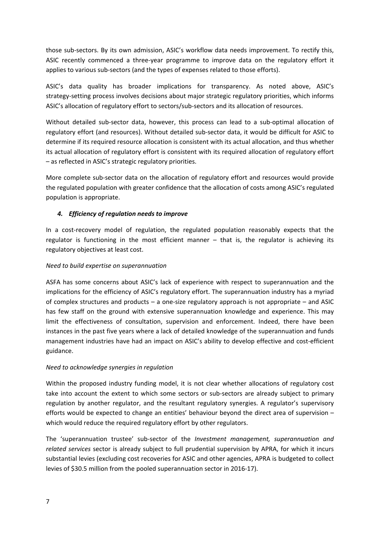those sub‐sectors. By its own admission, ASIC's workflow data needs improvement. To rectify this, ASIC recently commenced a three‐year programme to improve data on the regulatory effort it applies to various sub‐sectors (and the types of expenses related to those efforts).

ASIC's data quality has broader implications for transparency. As noted above, ASIC's strategy‐setting process involves decisions about major strategic regulatory priorities, which informs ASIC's allocation of regulatory effort to sectors/sub-sectors and its allocation of resources.

Without detailed sub-sector data, however, this process can lead to a sub-optimal allocation of regulatory effort (and resources). Without detailed sub‐sector data, it would be difficult for ASIC to determine if its required resource allocation is consistent with its actual allocation, and thus whether its actual allocation of regulatory effort is consistent with its required allocation of regulatory effort – as reflected in ASIC's strategic regulatory priorities.

More complete sub‐sector data on the allocation of regulatory effort and resources would provide the regulated population with greater confidence that the allocation of costs among ASIC's regulated population is appropriate.

# *4. Efficiency of regulation needs to improve*

In a cost-recovery model of regulation, the regulated population reasonably expects that the regulator is functioning in the most efficient manner – that is, the regulator is achieving its regulatory objectives at least cost.

## *Need to build expertise on superannuation*

ASFA has some concerns about ASIC's lack of experience with respect to superannuation and the implications for the efficiency of ASIC's regulatory effort. The superannuation industry has a myriad of complex structures and products – a one‐size regulatory approach is not appropriate – and ASIC has few staff on the ground with extensive superannuation knowledge and experience. This may limit the effectiveness of consultation, supervision and enforcement. Indeed, there have been instances in the past five years where a lack of detailed knowledge of the superannuation and funds management industries have had an impact on ASIC's ability to develop effective and cost-efficient guidance.

## *Need to acknowledge synergies in regulation*

Within the proposed industry funding model, it is not clear whether allocations of regulatory cost take into account the extent to which some sectors or sub-sectors are already subject to primary regulation by another regulator, and the resultant regulatory synergies. A regulator's supervisory efforts would be expected to change an entities' behaviour beyond the direct area of supervision – which would reduce the required regulatory effort by other regulators.

The 'superannuation trustee' sub‐sector of the *Investment management, superannuation and related services* sector is already subject to full prudential supervision by APRA, for which it incurs substantial levies (excluding cost recoveries for ASIC and other agencies, APRA is budgeted to collect levies of \$30.5 million from the pooled superannuation sector in 2016‐17).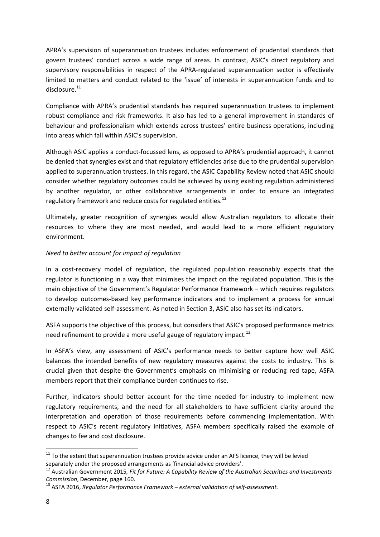APRA's supervision of superannuation trustees includes enforcement of prudential standards that govern trustees' conduct across a wide range of areas. In contrast, ASIC's direct regulatory and supervisory responsibilities in respect of the APRA-regulated superannuation sector is effectively limited to matters and conduct related to the 'issue' of interests in superannuation funds and to disclosure<sup>11</sup>

Compliance with APRA's prudential standards has required superannuation trustees to implement robust compliance and risk frameworks. It also has led to a general improvement in standards of behaviour and professionalism which extends across trustees' entire business operations, including into areas which fall within ASIC's supervision.

Although ASIC applies a conduct‐focussed lens, as opposed to APRA's prudential approach, it cannot be denied that synergies exist and that regulatory efficiencies arise due to the prudential supervision applied to superannuation trustees. In this regard, the ASIC Capability Review noted that ASIC should consider whether regulatory outcomes could be achieved by using existing regulation administered by another regulator, or other collaborative arrangements in order to ensure an integrated regulatory framework and reduce costs for regulated entities.<sup>12</sup>

Ultimately, greater recognition of synergies would allow Australian regulators to allocate their resources to where they are most needed, and would lead to a more efficient regulatory environment.

## *Need to better account for impact of regulation*

In a cost‐recovery model of regulation, the regulated population reasonably expects that the regulator is functioning in a way that minimises the impact on the regulated population. This is the main objective of the Government's Regulator Performance Framework – which requires regulators to develop outcomes‐based key performance indicators and to implement a process for annual externally‐validated self‐assessment. As noted in Section 3, ASIC also has set its indicators.

ASFA supports the objective of this process, but considers that ASIC's proposed performance metrics need refinement to provide a more useful gauge of regulatory impact.<sup>13</sup>

In ASFA's view, any assessment of ASIC's performance needs to better capture how well ASIC balances the intended benefits of new regulatory measures against the costs to industry. This is crucial given that despite the Government's emphasis on minimising or reducing red tape, ASFA members report that their compliance burden continues to rise.

Further, indicators should better account for the time needed for industry to implement new regulatory requirements, and the need for all stakeholders to have sufficient clarity around the interpretation and operation of those requirements before commencing implementation. With respect to ASIC's recent regulatory initiatives, ASFA members specifically raised the example of changes to fee and cost disclosure.

 $11$  To the extent that superannuation trustees provide advice under an AFS licence, they will be levied

separately under the proposed arrangements as 'financial advice providers'.<br><sup>12</sup> Australian Government 2015, Fit for Future: A Capability Review of the Australian Securities and Investments *Commission*, December, page 160. <sup>13</sup> ASFA 2016, *Regulator Performance Framework – external validation of self‐assessment.*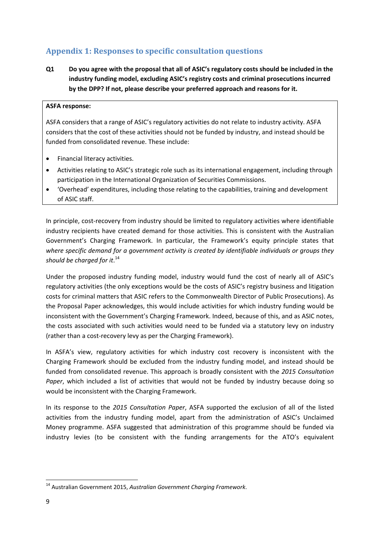# **Appendix 1: Responses to specific consultation questions**

**Q1 Do you agree with the proposal that all of ASIC's regulatory costs should be included in the industry funding model, excluding ASIC's registry costs and criminal prosecutions incurred by the DPP? If not, please describe your preferred approach and reasons for it.**

## **ASFA response:**

ASFA considers that a range of ASIC's regulatory activities do not relate to industry activity. ASFA considers that the cost of these activities should not be funded by industry, and instead should be funded from consolidated revenue. These include:

- Financial literacy activities.
- Activities relating to ASIC's strategic role such as its international engagement, including through participation in the International Organization of Securities Commissions.
- 'Overhead' expenditures, including those relating to the capabilities, training and development of ASIC staff.

In principle, cost‐recovery from industry should be limited to regulatory activities where identifiable industry recipients have created demand for those activities. This is consistent with the Australian Government's Charging Framework. In particular, the Framework's equity principle states that *where specific demand for a government activity is created by identifiable individuals or groups they should be charged for it*. 14

Under the proposed industry funding model, industry would fund the cost of nearly all of ASIC's regulatory activities (the only exceptions would be the costs of ASIC's registry business and litigation costs for criminal matters that ASIC refers to the Commonwealth Director of Public Prosecutions). As the Proposal Paper acknowledges, this would include activities for which industry funding would be inconsistent with the Government's Charging Framework. Indeed, because of this, and as ASIC notes, the costs associated with such activities would need to be funded via a statutory levy on industry (rather than a cost‐recovery levy as per the Charging Framework).

In ASFA's view, regulatory activities for which industry cost recovery is inconsistent with the Charging Framework should be excluded from the industry funding model, and instead should be funded from consolidated revenue. This approach is broadly consistent with the *2015 Consultation Paper*, which included a list of activities that would not be funded by industry because doing so would be inconsistent with the Charging Framework.

In its response to the *2015 Consultation Paper*, ASFA supported the exclusion of all of the listed activities from the industry funding model, apart from the administration of ASIC's Unclaimed Money programme. ASFA suggested that administration of this programme should be funded via industry levies (to be consistent with the funding arrangements for the ATO's equivalent

 <sup>14</sup> Australian Government 2015, *Australian Government Charging Framework*.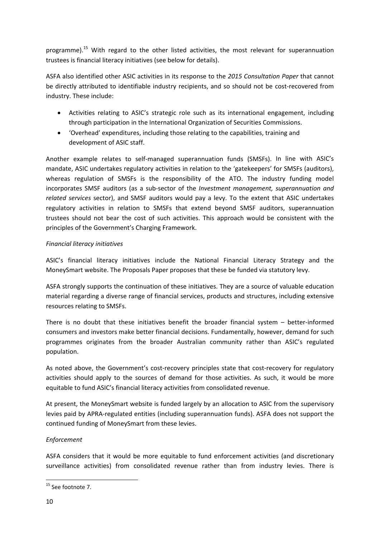programme).<sup>15</sup> With regard to the other listed activities, the most relevant for superannuation trustees is financial literacy initiatives (see below for details).

ASFA also identified other ASIC activities in its response to the *2015 Consultation Paper* that cannot be directly attributed to identifiable industry recipients, and so should not be cost-recovered from industry. These include:

- Activities relating to ASIC's strategic role such as its international engagement, including through participation in the International Organization of Securities Commissions.
- 'Overhead' expenditures, including those relating to the capabilities, training and development of ASIC staff.

Another example relates to self‐managed superannuation funds (SMSFs). In line with ASIC's mandate, ASIC undertakes regulatory activities in relation to the 'gatekeepers' for SMSFs (auditors), whereas regulation of SMSFs is the responsibility of the ATO. The industry funding model incorporates SMSF auditors (as a sub‐sector of the *Investment management, superannuation and related services* sector), and SMSF auditors would pay a levy. To the extent that ASIC undertakes regulatory activities in relation to SMSFs that extend beyond SMSF auditors, superannuation trustees should not bear the cost of such activities. This approach would be consistent with the principles of the Government's Charging Framework.

## *Financial literacy initiatives*

ASIC's financial literacy initiatives include the National Financial Literacy Strategy and the MoneySmart website. The Proposals Paper proposes that these be funded via statutory levy.

ASFA strongly supports the continuation of these initiatives. They are a source of valuable education material regarding a diverse range of financial services, products and structures, including extensive resources relating to SMSFs.

There is no doubt that these initiatives benefit the broader financial system – better-informed consumers and investors make better financial decisions. Fundamentally, however, demand for such programmes originates from the broader Australian community rather than ASIC's regulated population.

As noted above, the Government's cost-recovery principles state that cost-recovery for regulatory activities should apply to the sources of demand for those activities. As such, it would be more equitable to fund ASIC's financial literacy activities from consolidated revenue.

At present, the MoneySmart website is funded largely by an allocation to ASIC from the supervisory levies paid by APRA‐regulated entities (including superannuation funds). ASFA does not support the continued funding of MoneySmart from these levies.

# *Enforcement*

ASFA considers that it would be more equitable to fund enforcement activities (and discretionary surveillance activities) from consolidated revenue rather than from industry levies. There is

 <sup>15</sup> See footnote 7.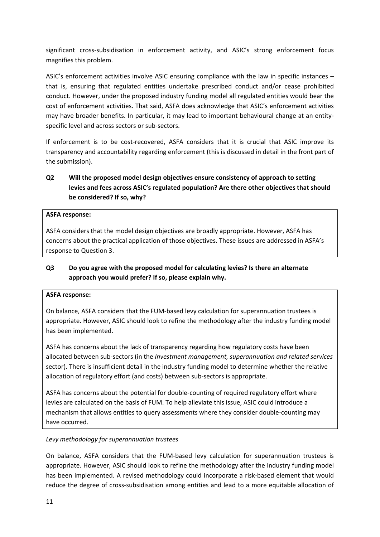significant cross-subsidisation in enforcement activity, and ASIC's strong enforcement focus magnifies this problem.

ASIC's enforcement activities involve ASIC ensuring compliance with the law in specific instances – that is, ensuring that regulated entities undertake prescribed conduct and/or cease prohibited conduct. However, under the proposed industry funding model all regulated entities would bear the cost of enforcement activities. That said, ASFA does acknowledge that ASIC's enforcement activities may have broader benefits. In particular, it may lead to important behavioural change at an entity‐ specific level and across sectors or sub‐sectors.

If enforcement is to be cost-recovered, ASFA considers that it is crucial that ASIC improve its transparency and accountability regarding enforcement (this is discussed in detail in the front part of the submission).

# **Q2 Will the proposed model design objectives ensure consistency of approach to setting levies and fees across ASIC's regulated population? Are there other objectives that should be considered? If so, why?**

## **ASFA response:**

ASFA considers that the model design objectives are broadly appropriate. However, ASFA has concerns about the practical application of those objectives. These issues are addressed in ASFA's response to Question 3.

# **Q3 Do you agree with the proposed model for calculating levies? Is there an alternate approach you would prefer? If so, please explain why.**

#### **ASFA response:**

On balance, ASFA considers that the FUM‐based levy calculation for superannuation trustees is appropriate. However, ASIC should look to refine the methodology after the industry funding model has been implemented.

ASFA has concerns about the lack of transparency regarding how regulatory costs have been allocated between sub‐sectors (in the *Investment management, superannuation and related services* sector). There is insufficient detail in the industry funding model to determine whether the relative allocation of regulatory effort (and costs) between sub‐sectors is appropriate.

ASFA has concerns about the potential for double‐counting of required regulatory effort where levies are calculated on the basis of FUM. To help alleviate this issue, ASIC could introduce a mechanism that allows entities to query assessments where they consider double‐counting may have occurred.

#### *Levy methodology for superannuation trustees*

On balance, ASFA considers that the FUM‐based levy calculation for superannuation trustees is appropriate. However, ASIC should look to refine the methodology after the industry funding model has been implemented. A revised methodology could incorporate a risk-based element that would reduce the degree of cross‐subsidisation among entities and lead to a more equitable allocation of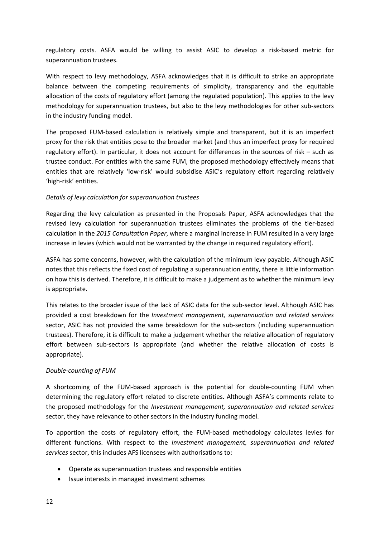regulatory costs. ASFA would be willing to assist ASIC to develop a risk‐based metric for superannuation trustees.

With respect to levy methodology, ASFA acknowledges that it is difficult to strike an appropriate balance between the competing requirements of simplicity, transparency and the equitable allocation of the costs of regulatory effort (among the regulated population). This applies to the levy methodology for superannuation trustees, but also to the levy methodologies for other sub‐sectors in the industry funding model.

The proposed FUM‐based calculation is relatively simple and transparent, but it is an imperfect proxy for the risk that entities pose to the broader market (and thus an imperfect proxy for required regulatory effort). In particular, it does not account for differences in the sources of risk – such as trustee conduct. For entities with the same FUM, the proposed methodology effectively means that entities that are relatively 'low-risk' would subsidise ASIC's regulatory effort regarding relatively 'high‐risk' entities.

## *Details of levy calculation for superannuation trustees*

Regarding the levy calculation as presented in the Proposals Paper, ASFA acknowledges that the revised levy calculation for superannuation trustees eliminates the problems of the tier-based calculation in the *2015 Consultation Paper*, where a marginal increase in FUM resulted in a very large increase in levies (which would not be warranted by the change in required regulatory effort).

ASFA has some concerns, however, with the calculation of the minimum levy payable. Although ASIC notes that this reflects the fixed cost of regulating a superannuation entity, there is little information on how this is derived. Therefore, it is difficult to make a judgement as to whether the minimum levy is appropriate.

This relates to the broader issue of the lack of ASIC data for the sub‐sector level. Although ASIC has provided a cost breakdown for the *Investment management, superannuation and related services* sector. ASIC has not provided the same breakdown for the sub-sectors (including superannuation trustees). Therefore, it is difficult to make a judgement whether the relative allocation of regulatory effort between sub-sectors is appropriate (and whether the relative allocation of costs is appropriate).

## *Double‐counting of FUM*

A shortcoming of the FUM‐based approach is the potential for double‐counting FUM when determining the regulatory effort related to discrete entities. Although ASFA's comments relate to the proposed methodology for the *Investment management, superannuation and related services* sector, they have relevance to other sectors in the industry funding model.

To apportion the costs of regulatory effort, the FUM‐based methodology calculates levies for different functions. With respect to the *Investment management, superannuation and related services* sector, this includes AFS licensees with authorisations to:

- Operate as superannuation trustees and responsible entities
- Issue interests in managed investment schemes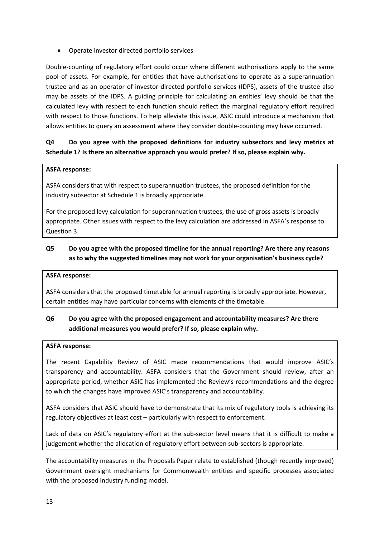Operate investor directed portfolio services

Double‐counting of regulatory effort could occur where different authorisations apply to the same pool of assets. For example, for entities that have authorisations to operate as a superannuation trustee and as an operator of investor directed portfolio services (IDPS), assets of the trustee also may be assets of the IDPS. A guiding principle for calculating an entities' levy should be that the calculated levy with respect to each function should reflect the marginal regulatory effort required with respect to those functions. To help alleviate this issue, ASIC could introduce a mechanism that allows entities to query an assessment where they consider double-counting may have occurred.

# **Q4 Do you agree with the proposed definitions for industry subsectors and levy metrics at Schedule 1? Is there an alternative approach you would prefer? If so, please explain why.**

# **ASFA response:**

ASFA considers that with respect to superannuation trustees, the proposed definition for the industry subsector at Schedule 1 is broadly appropriate.

For the proposed levy calculation for superannuation trustees, the use of gross assets is broadly appropriate. Other issues with respect to the levy calculation are addressed in ASFA's response to Question 3.

# **Q5 Do you agree with the proposed timeline for the annual reporting? Are there any reasons as to why the suggested timelines may not work for your organisation's business cycle?**

#### **ASFA response:**

ASFA considers that the proposed timetable for annual reporting is broadly appropriate. However, certain entities may have particular concerns with elements of the timetable.

# **Q6 Do you agree with the proposed engagement and accountability measures? Are there additional measures you would prefer? If so, please explain why.**

#### **ASFA response:**

The recent Capability Review of ASIC made recommendations that would improve ASIC's transparency and accountability. ASFA considers that the Government should review, after an appropriate period, whether ASIC has implemented the Review's recommendations and the degree to which the changes have improved ASIC's transparency and accountability.

ASFA considers that ASIC should have to demonstrate that its mix of regulatory tools is achieving its regulatory objectives at least cost – particularly with respect to enforcement.

Lack of data on ASIC's regulatory effort at the sub-sector level means that it is difficult to make a judgement whether the allocation of regulatory effort between sub-sectors is appropriate.

The accountability measures in the Proposals Paper relate to established (though recently improved) Government oversight mechanisms for Commonwealth entities and specific processes associated with the proposed industry funding model.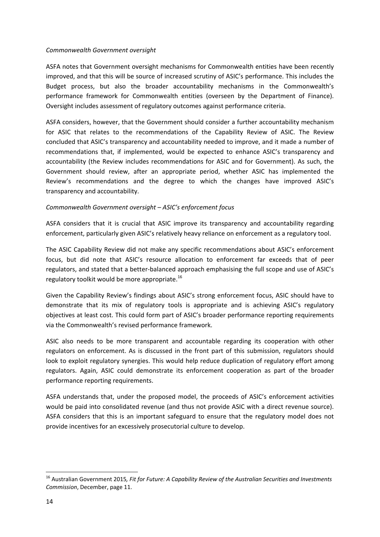#### *Commonwealth Government oversight*

ASFA notes that Government oversight mechanisms for Commonwealth entities have been recently improved, and that this will be source of increased scrutiny of ASIC's performance. This includes the Budget process, but also the broader accountability mechanisms in the Commonwealth's performance framework for Commonwealth entities (overseen by the Department of Finance). Oversight includes assessment of regulatory outcomes against performance criteria.

ASFA considers, however, that the Government should consider a further accountability mechanism for ASIC that relates to the recommendations of the Capability Review of ASIC. The Review concluded that ASIC's transparency and accountability needed to improve, and it made a number of recommendations that, if implemented, would be expected to enhance ASIC's transparency and accountability (the Review includes recommendations for ASIC and for Government). As such, the Government should review, after an appropriate period, whether ASIC has implemented the Review's recommendations and the degree to which the changes have improved ASIC's transparency and accountability.

## *Commonwealth Government oversight – ASIC's enforcement focus*

ASFA considers that it is crucial that ASIC improve its transparency and accountability regarding enforcement, particularly given ASIC's relatively heavy reliance on enforcement as a regulatory tool.

The ASIC Capability Review did not make any specific recommendations about ASIC's enforcement focus, but did note that ASIC's resource allocation to enforcement far exceeds that of peer regulators, and stated that a better‐balanced approach emphasising the full scope and use of ASIC's regulatory toolkit would be more appropriate.<sup>16</sup>

Given the Capability Review's findings about ASIC's strong enforcement focus, ASIC should have to demonstrate that its mix of regulatory tools is appropriate and is achieving ASIC's regulatory objectives at least cost. This could form part of ASIC's broader performance reporting requirements via the Commonwealth's revised performance framework.

ASIC also needs to be more transparent and accountable regarding its cooperation with other regulators on enforcement. As is discussed in the front part of this submission, regulators should look to exploit regulatory synergies. This would help reduce duplication of regulatory effort among regulators. Again, ASIC could demonstrate its enforcement cooperation as part of the broader performance reporting requirements.

ASFA understands that, under the proposed model, the proceeds of ASIC's enforcement activities would be paid into consolidated revenue (and thus not provide ASIC with a direct revenue source). ASFA considers that this is an important safeguard to ensure that the regulatory model does not provide incentives for an excessively prosecutorial culture to develop.

<sup>16</sup> Australian Government 2015*, Fit for Future: A Capability Review of the Australian Securities and Investments Commission*, December, page 11.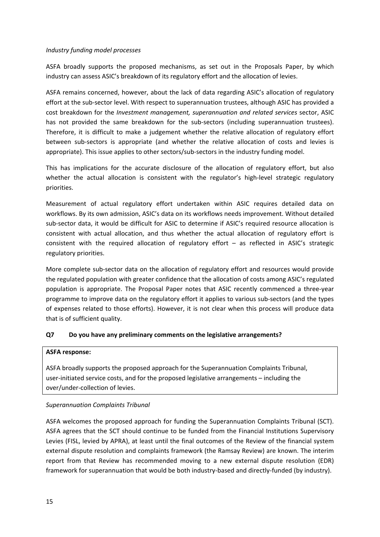## *Industry funding model processes*

ASFA broadly supports the proposed mechanisms, as set out in the Proposals Paper, by which industry can assess ASIC's breakdown of its regulatory effort and the allocation of levies.

ASFA remains concerned, however, about the lack of data regarding ASIC's allocation of regulatory effort at the sub‐sector level. With respect to superannuation trustees, although ASIC has provided a cost breakdown for the *Investment management, superannuation and related services* sector, ASIC has not provided the same breakdown for the sub-sectors (including superannuation trustees). Therefore, it is difficult to make a judgement whether the relative allocation of regulatory effort between sub-sectors is appropriate (and whether the relative allocation of costs and levies is appropriate). This issue applies to other sectors/sub‐sectors in the industry funding model.

This has implications for the accurate disclosure of the allocation of regulatory effort, but also whether the actual allocation is consistent with the regulator's high-level strategic regulatory priorities.

Measurement of actual regulatory effort undertaken within ASIC requires detailed data on workflows. By its own admission, ASIC's data on its workflows needs improvement. Without detailed sub‐sector data, it would be difficult for ASIC to determine if ASIC's required resource allocation is consistent with actual allocation, and thus whether the actual allocation of regulatory effort is consistent with the required allocation of regulatory effort – as reflected in ASIC's strategic regulatory priorities.

More complete sub‐sector data on the allocation of regulatory effort and resources would provide the regulated population with greater confidence that the allocation of costs among ASIC's regulated population is appropriate. The Proposal Paper notes that ASIC recently commenced a three‐year programme to improve data on the regulatory effort it applies to various sub‐sectors (and the types of expenses related to those efforts). However, it is not clear when this process will produce data that is of sufficient quality.

## **Q7 Do you have any preliminary comments on the legislative arrangements?**

## **ASFA response:**

ASFA broadly supports the proposed approach for the Superannuation Complaints Tribunal, user-initiated service costs, and for the proposed legislative arrangements – including the over/under‐collection of levies.

#### *Superannuation Complaints Tribunal*

ASFA welcomes the proposed approach for funding the Superannuation Complaints Tribunal (SCT). ASFA agrees that the SCT should continue to be funded from the Financial Institutions Supervisory Levies (FISL, levied by APRA), at least until the final outcomes of the Review of the financial system external dispute resolution and complaints framework (the Ramsay Review) are known. The interim report from that Review has recommended moving to a new external dispute resolution (EDR) framework for superannuation that would be both industry-based and directly-funded (by industry).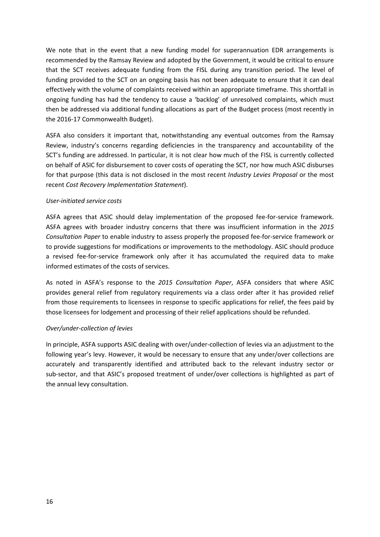We note that in the event that a new funding model for superannuation EDR arrangements is recommended by the Ramsay Review and adopted by the Government, it would be critical to ensure that the SCT receives adequate funding from the FISL during any transition period. The level of funding provided to the SCT on an ongoing basis has not been adequate to ensure that it can deal effectively with the volume of complaints received within an appropriate timeframe. This shortfall in ongoing funding has had the tendency to cause a 'backlog' of unresolved complaints, which must then be addressed via additional funding allocations as part of the Budget process (most recently in the 2016‐17 Commonwealth Budget).

ASFA also considers it important that, notwithstanding any eventual outcomes from the Ramsay Review, industry's concerns regarding deficiencies in the transparency and accountability of the SCT's funding are addressed. In particular, it is not clear how much of the FISL is currently collected on behalf of ASIC for disbursement to cover costs of operating the SCT, nor how much ASIC disburses for that purpose (this data is not disclosed in the most recent *Industry Levies Proposal* or the most recent *Cost Recovery Implementation Statement*).

## *User‐initiated service costs*

ASFA agrees that ASIC should delay implementation of the proposed fee-for-service framework. ASFA agrees with broader industry concerns that there was insufficient information in the *2015 Consultation Paper* to enable industry to assess properly the proposed fee‐for‐service framework or to provide suggestions for modifications or improvements to the methodology. ASIC should produce a revised fee-for-service framework only after it has accumulated the required data to make informed estimates of the costs of services.

As noted in ASFA's response to the *2015 Consultation Paper*, ASFA considers that where ASIC provides general relief from regulatory requirements via a class order after it has provided relief from those requirements to licensees in response to specific applications for relief, the fees paid by those licensees for lodgement and processing of their relief applications should be refunded.

#### *Over/under‐collection of levies*

In principle, ASFA supports ASIC dealing with over/under‐collection of levies via an adjustment to the following year's levy. However, it would be necessary to ensure that any under/over collections are accurately and transparently identified and attributed back to the relevant industry sector or sub-sector, and that ASIC's proposed treatment of under/over collections is highlighted as part of the annual levy consultation.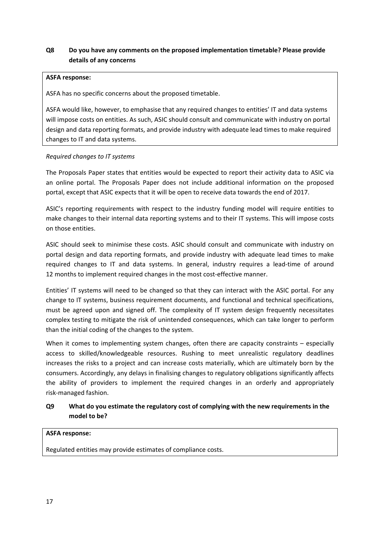# **Q8 Do you have any comments on the proposed implementation timetable? Please provide details of any concerns**

#### **ASFA response:**

ASFA has no specific concerns about the proposed timetable.

ASFA would like, however, to emphasise that any required changes to entities' IT and data systems will impose costs on entities. As such, ASIC should consult and communicate with industry on portal design and data reporting formats, and provide industry with adequate lead times to make required changes to IT and data systems.

## *Required changes to IT systems*

The Proposals Paper states that entities would be expected to report their activity data to ASIC via an online portal. The Proposals Paper does not include additional information on the proposed portal, except that ASIC expects that it will be open to receive data towards the end of 2017.

ASIC's reporting requirements with respect to the industry funding model will require entities to make changes to their internal data reporting systems and to their IT systems. This will impose costs on those entities.

ASIC should seek to minimise these costs. ASIC should consult and communicate with industry on portal design and data reporting formats, and provide industry with adequate lead times to make required changes to IT and data systems. In general, industry requires a lead-time of around 12 months to implement required changes in the most cost-effective manner.

Entities' IT systems will need to be changed so that they can interact with the ASIC portal. For any change to IT systems, business requirement documents, and functional and technical specifications, must be agreed upon and signed off. The complexity of IT system design frequently necessitates complex testing to mitigate the risk of unintended consequences, which can take longer to perform than the initial coding of the changes to the system.

When it comes to implementing system changes, often there are capacity constraints – especially access to skilled/knowledgeable resources. Rushing to meet unrealistic regulatory deadlines increases the risks to a project and can increase costs materially, which are ultimately born by the consumers. Accordingly, any delays in finalising changes to regulatory obligations significantly affects the ability of providers to implement the required changes in an orderly and appropriately risk‐managed fashion.

# **Q9 What do you estimate the regulatory cost of complying with the new requirements in the model to be?**

#### **ASFA response:**

Regulated entities may provide estimates of compliance costs.